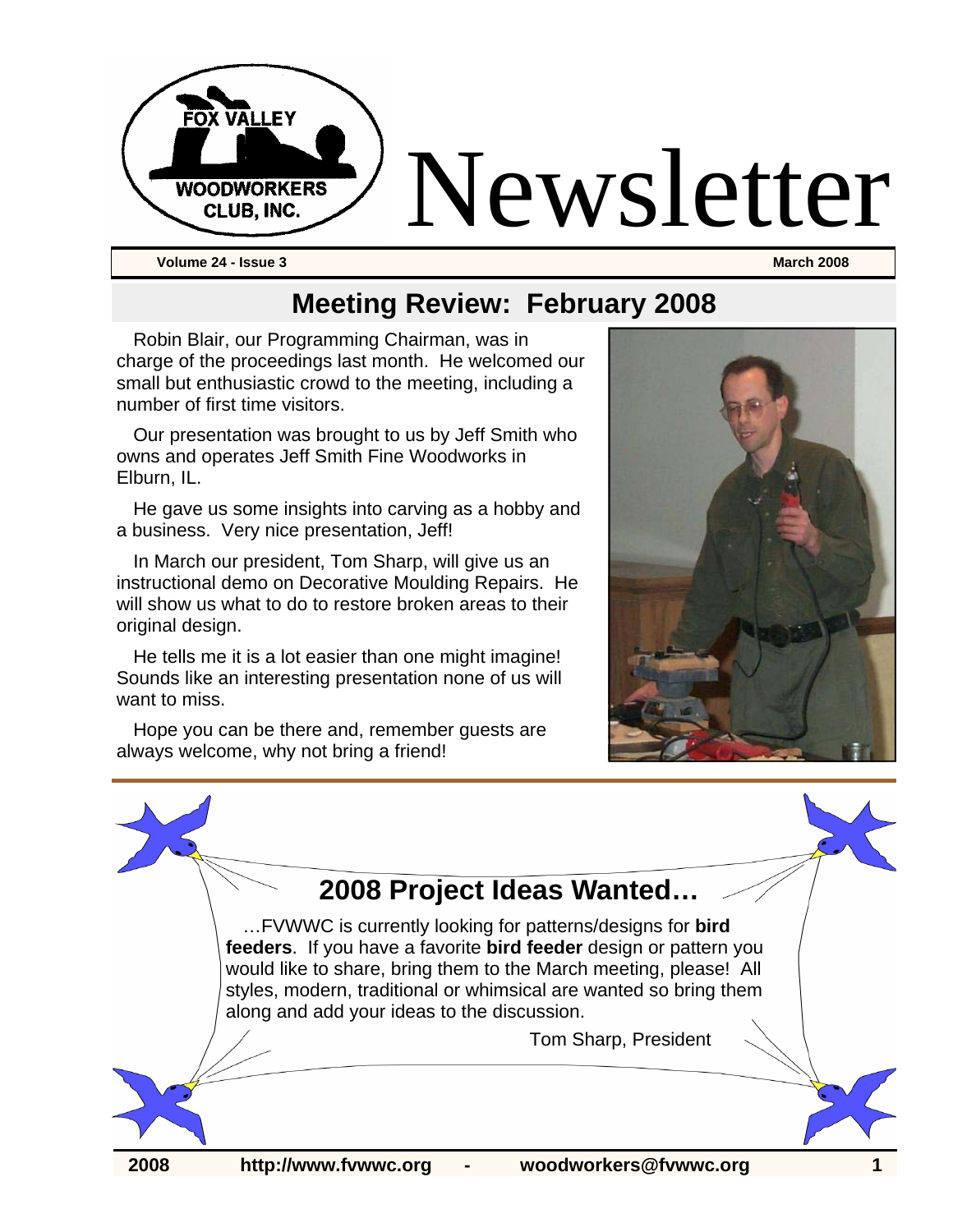

**Meeting Review: February 2008** 

Robin Blair, our Programming Chairman, was in charge of the proceedings last month. He welcomed our small but enthusiastic crowd to the meeting, including a number of first time visitors.

Our presentation was brought to us by Jeff Smith who owns and operates Jeff Smith Fine Woodworks in Elburn, IL.

He gave us some insights into carving as a hobby and a business. Very nice presentation, Jeff!

In March our president, Tom Sharp, will give us an instructional demo on Decorative Moulding Repairs. He will show us what to do to restore broken areas to their original design.

He tells me it is a lot easier than one might imagine! Sounds like an interesting presentation none of us will want to miss.

Hope you can be there and, remember guests are always welcome, why not bring a friend!



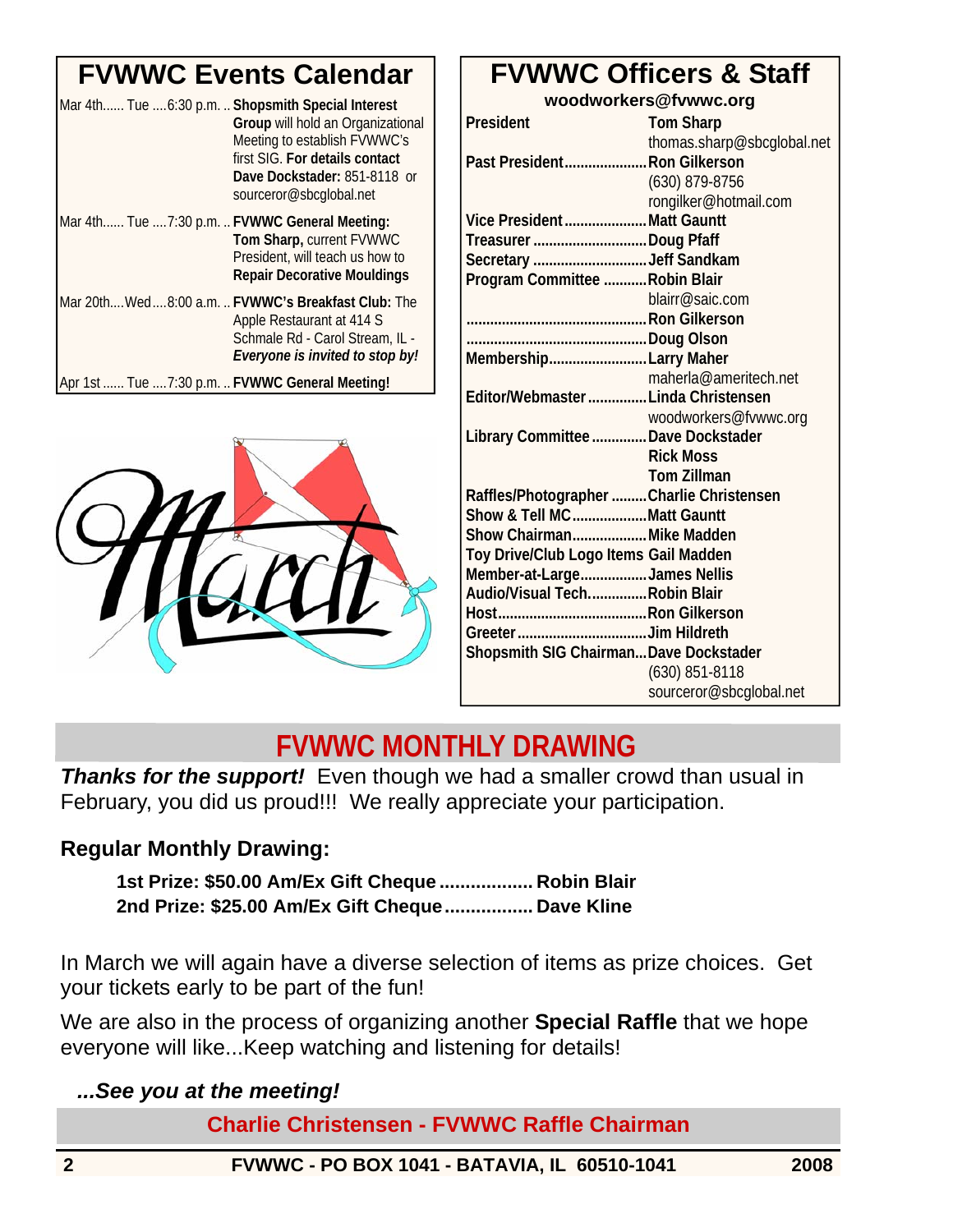## **FVWWC Events Calendar**

| Mar 4th Tue 6:30 p.m.  Shopsmith Special Interest | Group will hold an Organizational<br>Meeting to establish FVWWC's<br>first SIG. For details contact<br>Dave Dockstader: 851-8118 or<br>sourceror@sbcglobal.net |
|---------------------------------------------------|----------------------------------------------------------------------------------------------------------------------------------------------------------------|
| Mar 4th Tue 7:30 p.m.  FVWWC General Meeting:     | Tom Sharp, current FVWWC<br>President, will teach us how to<br><b>Repair Decorative Mouldings</b>                                                              |
|                                                   | Mar 20th Wed8:00 a.m.  FVWWC's Breakfast Club: The<br>Apple Restaurant at 414 S<br>Schmale Rd - Carol Stream, IL -<br>Everyone is invited to stop by!          |
| Apr 1st  Tue  7:30 p.m.  FVWWC General Meeting!   |                                                                                                                                                                |



| woodworkers@fvwwc.org                    |                            |  |
|------------------------------------------|----------------------------|--|
| President                                | <b>Tom Sharp</b>           |  |
|                                          | thomas.sharp@sbcglobal.net |  |
| Past President Ron Gilkerson             |                            |  |
|                                          | (630) 879-8756             |  |
|                                          | rongilker@hotmail.com      |  |
| Vice President Matt Gauntt               |                            |  |
| Treasurer Doug Pfaff                     |                            |  |
| Secretary Jeff Sandkam                   |                            |  |
| Program Committee  Robin Blair           |                            |  |
|                                          | blairr@saic.com            |  |
|                                          |                            |  |
|                                          |                            |  |
| MembershipLarry Maher                    |                            |  |
|                                          | maherla@ameritech.net      |  |
| Editor/Webmaster  Linda Christensen      |                            |  |
|                                          | woodworkers@fvwwc.org      |  |
| Library Committee  Dave Dockstader       |                            |  |
|                                          | <b>Rick Moss</b>           |  |
|                                          | <b>Tom Zillman</b>         |  |
| Raffles/Photographer Charlie Christensen |                            |  |
| Show & Tell MCMatt Gauntt                |                            |  |
| Show Chairman Mike Madden                |                            |  |
| Toy Drive/Club Logo Items Gail Madden    |                            |  |
| Member-at-LargeJames Nellis              |                            |  |
| Audio/Visual TechRobin Blair             |                            |  |
|                                          |                            |  |
|                                          |                            |  |
| Shopsmith SIG Chairman Dave Dockstader   |                            |  |
|                                          | (630) 851-8118             |  |
|                                          | sourceror@sbcqlobal.net    |  |

**FVWWC Officers & Staff** 

## **FVWWC MONTHLY DRAWING**

**Thanks for the support!** Even though we had a smaller crowd than usual in February, you did us proud!!! We really appreciate your participation.

#### **Regular Monthly Drawing:**

**1st Prize: \$50.00 Am/Ex Gift Cheque .................. Robin Blair 2nd Prize: \$25.00 Am/Ex Gift Cheque................. Dave Kline** 

In March we will again have a diverse selection of items as prize choices. Get your tickets early to be part of the fun!

We are also in the process of organizing another **Special Raffle** that we hope everyone will like...Keep watching and listening for details!

*...See you at the meeting!* 

**Charlie Christensen - FVWWC Raffle Chairman** 

**2 FVWWC - PO BOX 1041 - BATAVIA, IL 60510-1041 2008**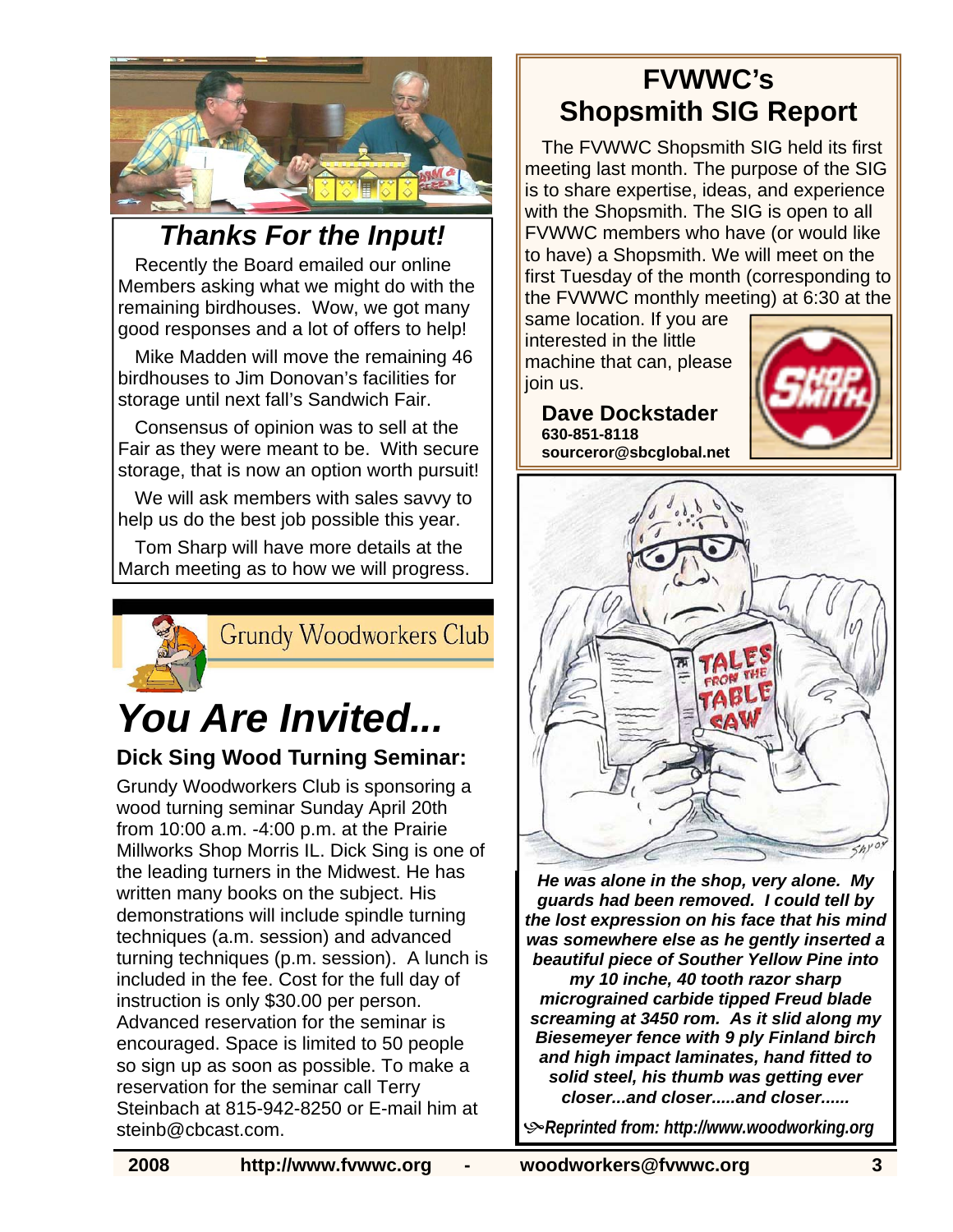

*Thanks For the Input!* 

Recently the Board emailed our online Members asking what we might do with the remaining birdhouses. Wow, we got many good responses and a lot of offers to help!

Mike Madden will move the remaining 46 birdhouses to Jim Donovan's facilities for storage until next fall's Sandwich Fair.

Consensus of opinion was to sell at the Fair as they were meant to be. With secure storage, that is now an option worth pursuit!

We will ask members with sales savvy to help us do the best job possible this year.

Tom Sharp will have more details at the March meeting as to how we will progress.



**Grundy Woodworkers Club** 

# *You Are Invited...*

#### **Dick Sing Wood Turning Seminar:**

Grundy Woodworkers Club is sponsoring a wood turning seminar Sunday April 20th from 10:00 a.m. -4:00 p.m. at the Prairie Millworks Shop Morris IL. Dick Sing is one of the leading turners in the Midwest. He has written many books on the subject. His demonstrations will include spindle turning techniques (a.m. session) and advanced turning techniques (p.m. session). A lunch is included in the fee. Cost for the full day of instruction is only \$30.00 per person. Advanced reservation for the seminar is encouraged. Space is limited to 50 people so sign up as soon as possible. To make a reservation for the seminar call Terry Steinbach at 815-942-8250 or E-mail him at steinb@cbcast.com.

## **FVWWC's Shopsmith SIG Report**

The FVWWC Shopsmith SIG held its first meeting last month. The purpose of the SIG is to share expertise, ideas, and experience with the Shopsmith. The SIG is open to all FVWWC members who have (or would like to have) a Shopsmith. We will meet on the first Tuesday of the month (corresponding to the FVWWC monthly meeting) at 6:30 at the

same location. If you are interested in the little machine that can, please join us.







*He was alone in the shop, very alone. My guards had been removed. I could tell by the lost expression on his face that his mind was somewhere else as he gently inserted a beautiful piece of Souther Yellow Pine into my 10 inche, 40 tooth razor sharp micrograined carbide tipped Freud blade screaming at 3450 rom. As it slid along my Biesemeyer fence with 9 ply Finland birch and high impact laminates, hand fitted to* 

*solid steel, his thumb was getting ever closer...and closer.....and closer......* 

K*Reprinted from: http://www.woodworking.org*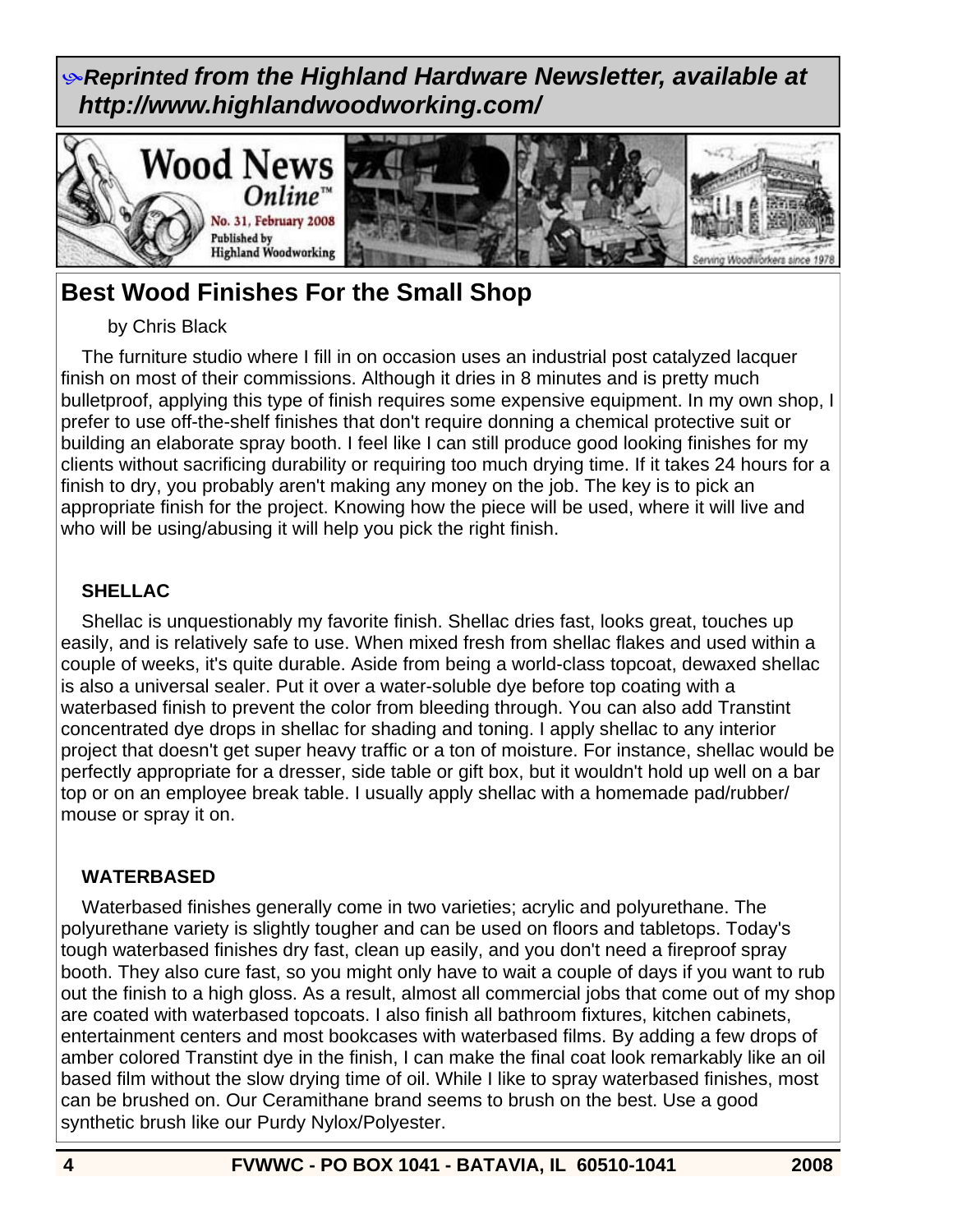K*Reprinted from the Highland Hardware Newsletter, available at http://www.highlandwoodworking.com/* 



### **Best Wood Finishes For the Small Shop**

#### by Chris Black

 The furniture studio where I fill in on occasion uses an industrial post catalyzed lacquer finish on most of their commissions. Although it dries in 8 minutes and is pretty much bulletproof, applying this type of finish requires some expensive equipment. In my own shop, I prefer to use off-the-shelf finishes that don't require donning a chemical protective suit or building an elaborate spray booth. I feel like I can still produce good looking finishes for my clients without sacrificing durability or requiring too much drying time. If it takes 24 hours for a finish to dry, you probably aren't making any money on the job. The key is to pick an appropriate finish for the project. Knowing how the piece will be used, where it will live and who will be using/abusing it will help you pick the right finish.

#### **SHELLAC**

 Shellac is unquestionably my favorite finish. Shellac dries fast, looks great, touches up easily, and is relatively safe to use. When mixed fresh from shellac flakes and used within a couple of weeks, it's quite durable. Aside from being a world-class topcoat, dewaxed shellac is also a universal sealer. Put it over a water-soluble dye before top coating with a waterbased finish to prevent the color from bleeding through. You can also add Transtint concentrated dye drops in shellac for shading and toning. I apply shellac to any interior project that doesn't get super heavy traffic or a ton of moisture. For instance, shellac would be perfectly appropriate for a dresser, side table or gift box, but it wouldn't hold up well on a bar top or on an employee break table. I usually apply shellac with a homemade pad/rubber/ mouse or spray it on.

#### **WATERBASED**

 Waterbased finishes generally come in two varieties; acrylic and polyurethane. The polyurethane variety is slightly tougher and can be used on floors and tabletops. Today's tough waterbased finishes dry fast, clean up easily, and you don't need a fireproof spray booth. They also cure fast, so you might only have to wait a couple of days if you want to rub out the finish to a high gloss. As a result, almost all commercial jobs that come out of my shop are coated with waterbased topcoats. I also finish all bathroom fixtures, kitchen cabinets, entertainment centers and most bookcases with waterbased films. By adding a few drops of amber colored Transtint dye in the finish, I can make the final coat look remarkably like an oil based film without the slow drying time of oil. While I like to spray waterbased finishes, most can be brushed on. Our Ceramithane brand seems to brush on the best. Use a good synthetic brush like our Purdy Nylox/Polyester.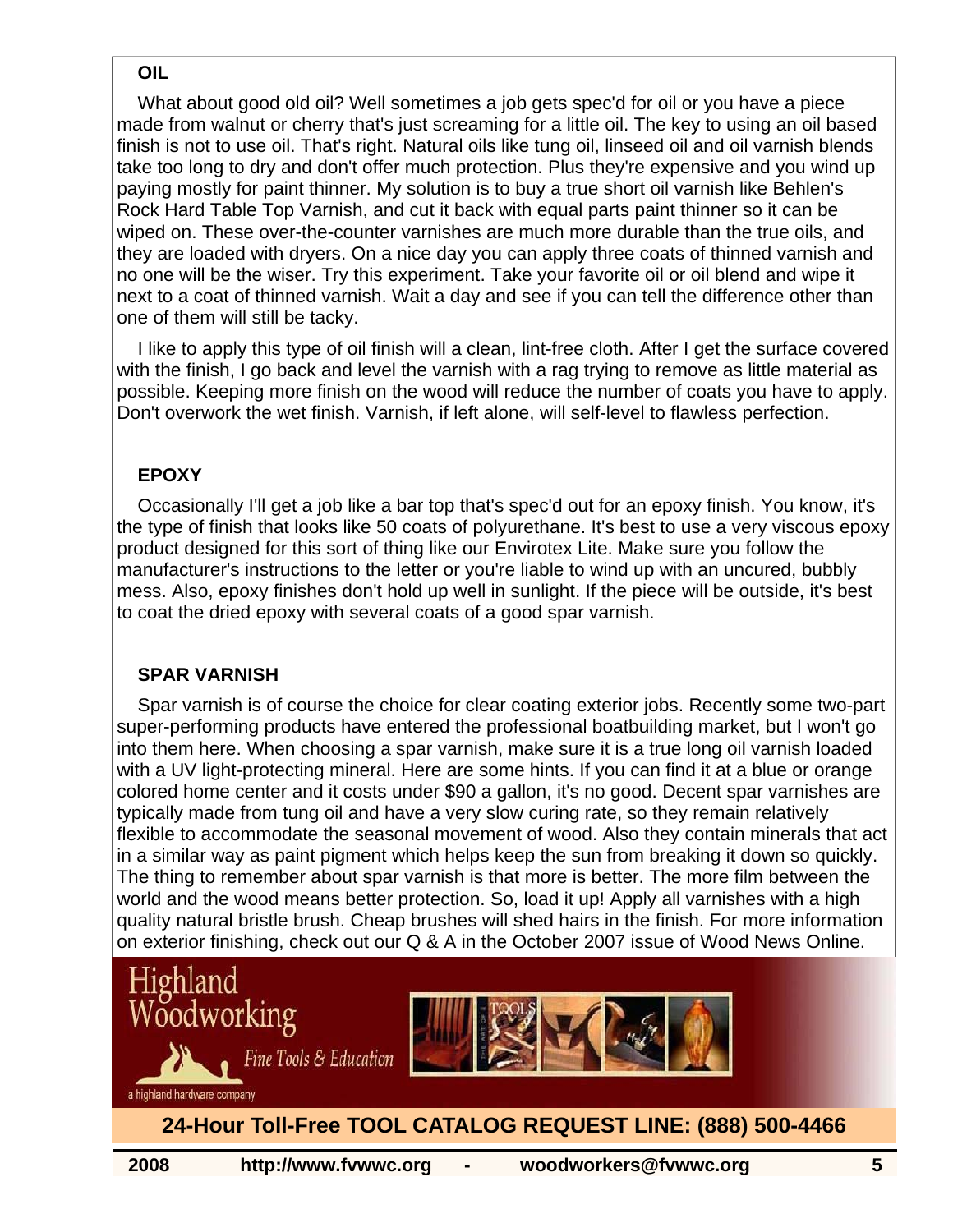#### **OIL**

 What about good old oil? Well sometimes a job gets spec'd for oil or you have a piece made from walnut or cherry that's just screaming for a little oil. The key to using an oil based finish is not to use oil. That's right. Natural oils like tung oil, linseed oil and oil varnish blends take too long to dry and don't offer much protection. Plus they're expensive and you wind up paying mostly for paint thinner. My solution is to buy a true short oil varnish like Behlen's Rock Hard Table Top Varnish, and cut it back with equal parts paint thinner so it can be wiped on. These over-the-counter varnishes are much more durable than the true oils, and they are loaded with dryers. On a nice day you can apply three coats of thinned varnish and no one will be the wiser. Try this experiment. Take your favorite oil or oil blend and wipe it next to a coat of thinned varnish. Wait a day and see if you can tell the difference other than one of them will still be tacky.

 I like to apply this type of oil finish will a clean, lint-free cloth. After I get the surface covered with the finish, I go back and level the varnish with a rag trying to remove as little material as possible. Keeping more finish on the wood will reduce the number of coats you have to apply. Don't overwork the wet finish. Varnish, if left alone, will self-level to flawless perfection.

#### **EPOXY**

 Occasionally I'll get a job like a bar top that's spec'd out for an epoxy finish. You know, it's the type of finish that looks like 50 coats of polyurethane. It's best to use a very viscous epoxy product designed for this sort of thing like our Envirotex Lite. Make sure you follow the manufacturer's instructions to the letter or you're liable to wind up with an uncured, bubbly mess. Also, epoxy finishes don't hold up well in sunlight. If the piece will be outside, it's best to coat the dried epoxy with several coats of a good spar varnish.

#### **SPAR VARNISH**

 Spar varnish is of course the choice for clear coating exterior jobs. Recently some two-part super-performing products have entered the professional boatbuilding market, but I won't go into them here. When choosing a spar varnish, make sure it is a true long oil varnish loaded with a UV light-protecting mineral. Here are some hints. If you can find it at a blue or orange colored home center and it costs under \$90 a gallon, it's no good. Decent spar varnishes are typically made from tung oil and have a very slow curing rate, so they remain relatively flexible to accommodate the seasonal movement of wood. Also they contain minerals that act in a similar way as paint pigment which helps keep the sun from breaking it down so quickly. The thing to remember about spar varnish is that more is better. The more film between the world and the wood means better protection. So, load it up! Apply all varnishes with a high quality natural bristle brush. Cheap brushes will shed hairs in the finish. For more information on exterior finishing, check out our Q & A in the October 2007 issue of Wood News Online.





a highland hardware company

#### **24-Hour Toll-Free TOOL CATALOG REQUEST LINE: (888) 500-4466**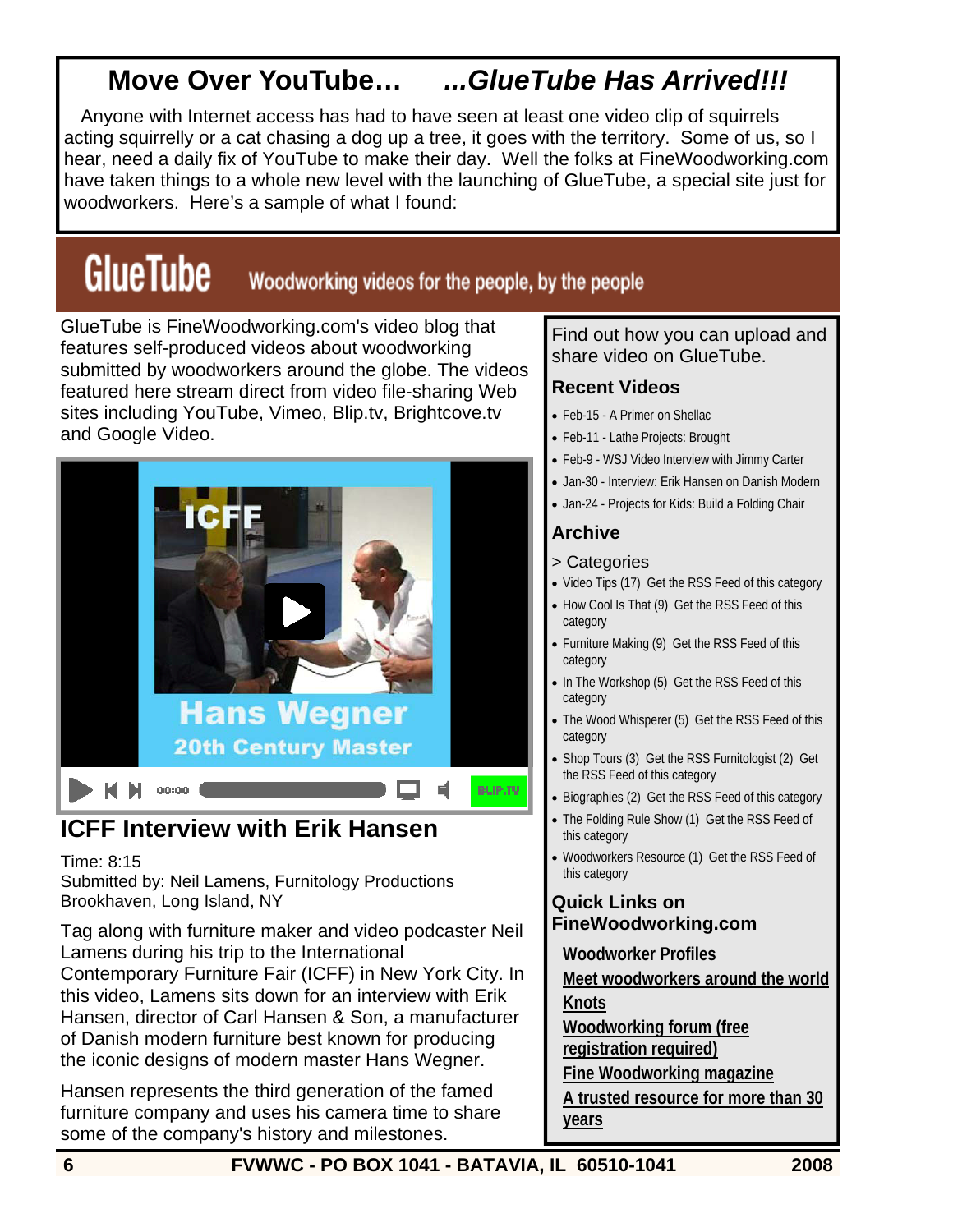## **Move Over YouTube…** *...GlueTube Has Arrived!!!*

Anyone with Internet access has had to have seen at least one video clip of squirrels acting squirrelly or a cat chasing a dog up a tree, it goes with the territory. Some of us, so I hear, need a daily fix of YouTube to make their day. Well the folks at FineWoodworking.com have taken things to a whole new level with the launching of GlueTube, a special site just for woodworkers. Here's a sample of what I found:

# **GlueTube**

#### Woodworking videos for the people, by the people

GlueTube is FineWoodworking.com's video blog that features self-produced videos about woodworking submitted by woodworkers around the globe. The videos featured here stream direct from video file-sharing Web sites including YouTube, Vimeo, Blip.tv, Brightcove.tv and Google Video.



### **ICFF Interview with Erik Hansen**

#### Time: 8:15

Submitted by: Neil Lamens, Furnitology Productions Brookhaven, Long Island, NY

Tag along with furniture maker and video podcaster Neil Lamens during his trip to the International Contemporary Furniture Fair (ICFF) in New York City. In this video, Lamens sits down for an interview with Erik Hansen, director of Carl Hansen & Son, a manufacturer of Danish modern furniture best known for producing the iconic designs of modern master Hans Wegner.

Hansen represents the third generation of the famed furniture company and uses his camera time to share some of the company's history and milestones.

#### Find out how you can upload and share video on GlueTube.

#### **Recent Videos**

- Feb-15 A Primer on Shellac
- Feb-11 Lathe Projects: Brought
- Feb-9 WSJ Video Interview with Jimmy Carter
- Jan-30 Interview: Erik Hansen on Danish Modern
- Jan-24 Projects for Kids: Build a Folding Chair

#### **Archive**

- > Categories
- Video Tips (17) Get the RSS Feed of this category
- How Cool Is That (9) Get the RSS Feed of this category
- Furniture Making (9) Get the RSS Feed of this category
- In The Workshop (5) Get the RSS Feed of this category
- The Wood Whisperer (5) Get the RSS Feed of this category
- Shop Tours (3) Get the RSS Furnitologist (2) Get the RSS Feed of this category
- Biographies (2) Get the RSS Feed of this category
- The Folding Rule Show (1) Get the RSS Feed of this category
- Woodworkers Resource (1) Get the RSS Feed of this category

#### **Quick Links on FineWoodworking.com**

**Woodworker Profiles**

**Meet woodworkers around the world**

**Knots**

**Woodworking forum (free** 

**registration required)**

**Fine Woodworking magazine**

**A trusted resource for more than 30 years**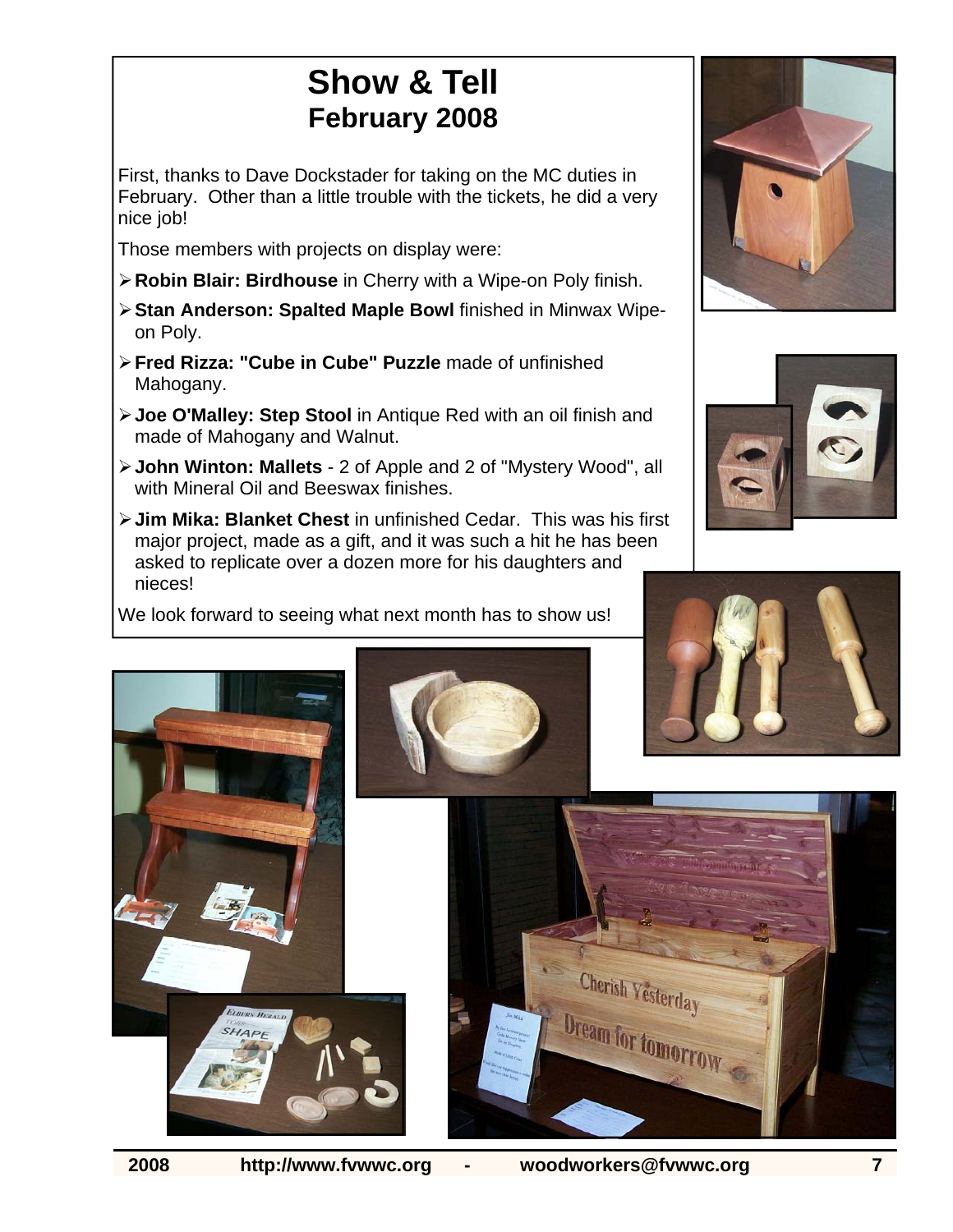## **Show & Tell February 2008**

First, thanks to Dave Dockstader for taking on the MC duties in February. Other than a little trouble with the tickets, he did a very nice job!

Those members with projects on display were:

- ¾ **Robin Blair: Birdhouse** in Cherry with a Wipe-on Poly finish.
- ¾ **Stan Anderson: Spalted Maple Bowl** finished in Minwax Wipeon Poly.
- ¾ **Fred Rizza: "Cube in Cube" Puzzle** made of unfinished Mahogany.
- ¾ **Joe O'Malley: Step Stool** in Antique Red with an oil finish and made of Mahogany and Walnut.
- ¾ **John Winton: Mallets**  2 of Apple and 2 of "Mystery Wood", all with Mineral Oil and Beeswax finishes.
- ¾ **Jim Mika: Blanket Chest** in unfinished Cedar. This was his first major project, made as a gift, and it was such a hit he has been asked to replicate over a dozen more for his daughters and nieces!

We look forward to seeing what next month has to show us!